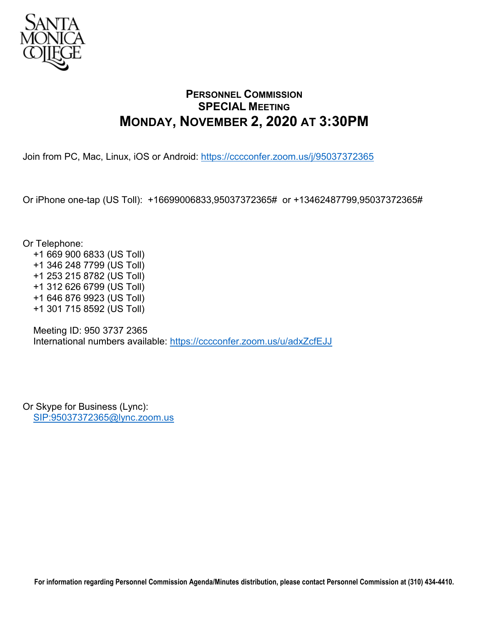

## **PERSONNEL COMMISSION SPECIAL MEETING MONDAY, NOVEMBER 2, 2020 AT 3:30PM**

Join from PC, Mac, Linux, iOS or Android:<https://cccconfer.zoom.us/j/95037372365>

Or iPhone one-tap (US Toll): +16699006833,95037372365# or +13462487799,95037372365#

Or Telephone:

 +1 669 900 6833 (US Toll) +1 346 248 7799 (US Toll) +1 253 215 8782 (US Toll) +1 312 626 6799 (US Toll) +1 646 876 9923 (US Toll) +1 301 715 8592 (US Toll)

 Meeting ID: 950 3737 2365 International numbers available:<https://cccconfer.zoom.us/u/adxZcfEJJ>

Or Skype for Business (Lync): [SIP:95037372365@lync.zoom.us](sip:95037372365@lync.zoom.us)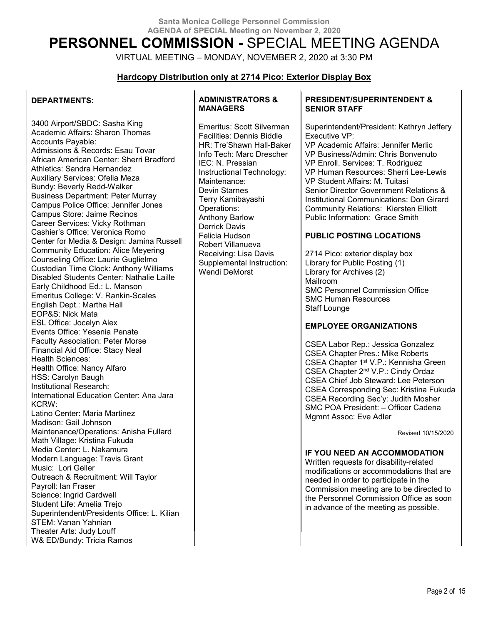# **PERSONNEL COMMISSION -** SPECIAL MEETING AGENDA

VIRTUAL MEETING – MONDAY, NOVEMBER 2, 2020 at 3:30 PM

## **Hardcopy Distribution only at 2714 Pico: Exterior Display Box**

## **DEPARTMENTS:**

3400 Airport/SBDC: Sasha King Academic Affairs: Sharon Thomas Accounts Payable: Admissions & Records: Esau Tovar African American Center: Sherri Bradford Athletics: Sandra Hernandez Auxiliary Services: Ofelia Meza Bundy: Beverly Redd-Walker Business Department: Peter Murray Campus Police Office: Jennifer Jones Campus Store: Jaime Recinos Career Services: Vicky Rothman Cashier's Office: Veronica Romo Center for Media & Design: Jamina Russell Community Education: Alice Meyering Counseling Office: Laurie Guglielmo Custodian Time Clock: Anthony Williams Disabled Students Center: Nathalie Laille Early Childhood Ed.: L. Manson Emeritus College: V. Rankin-Scales English Dept.: Martha Hall EOP&S: Nick Mata ESL Office: Jocelyn Alex Events Office: Yesenia Penate Faculty Association: Peter Morse Financial Aid Office: Stacy Neal Health Sciences: Health Office: Nancy Alfaro HSS: Carolyn Baugh Institutional Research: International Education Center: Ana Jara KCRW: Latino Center: Maria Martinez Madison: Gail Johnson Maintenance/Operations: Anisha Fullard Math Village: Kristina Fukuda Media Center: L. Nakamura Modern Language: Travis Grant Music: Lori Geller Outreach & Recruitment: Will Taylor Payroll: Ian Fraser Science: Ingrid Cardwell Student Life: Amelia Trejo Superintendent/Presidents Office: L. Kilian STEM: Vanan Yahnian Theater Arts: Judy Louff W& ED/Bundy: Tricia Ramos

#### **ADMINISTRATORS & MANAGERS**

Emeritus: Scott Silverman Facilities: Dennis Biddle HR: Tre'Shawn Hall-Baker Info Tech: Marc Drescher IEC: N. Pressian Instructional Technology: Maintenance: Devin Starnes Terry Kamibayashi Operations: Anthony Barlow Derrick Davis Felicia Hudson Robert Villanueva Receiving: Lisa Davis Supplemental Instruction: Wendi DeMorst

#### **PRESIDENT/SUPERINTENDENT & SENIOR STAFF**

Superintendent/President: Kathryn Jeffery Executive VP: VP Academic Affairs: Jennifer Merlic VP Business/Admin: Chris Bonvenuto VP Enroll. Services: T. Rodriguez VP Human Resources: Sherri Lee-Lewis VP Student Affairs: M. Tuitasi Senior Director Government Relations & Institutional Communications: Don Girard Community Relations: Kiersten Elliott Public Information: Grace Smith

## **PUBLIC POSTING LOCATIONS**

2714 Pico: exterior display box Library for Public Posting (1) Library for Archives (2) Mailroom SMC Personnel Commission Office SMC Human Resources Staff Lounge

## **EMPLOYEE ORGANIZATIONS**

CSEA Labor Rep.: Jessica Gonzalez CSEA Chapter Pres.: Mike Roberts CSEA Chapter 1st V.P.: Kennisha Green CSEA Chapter 2nd V.P.: Cindy Ordaz CSEA Chief Job Steward: Lee Peterson CSEA Corresponding Sec: Kristina Fukuda CSEA Recording Sec'y: Judith Mosher SMC POA President: – Officer Cadena Mgmnt Assoc: Eve Adler

Revised 10/15/2020

#### **IF YOU NEED AN ACCOMMODATION**

Written requests for disability-related modifications or accommodations that are needed in order to participate in the Commission meeting are to be directed to the Personnel Commission Office as soon in advance of the meeting as possible.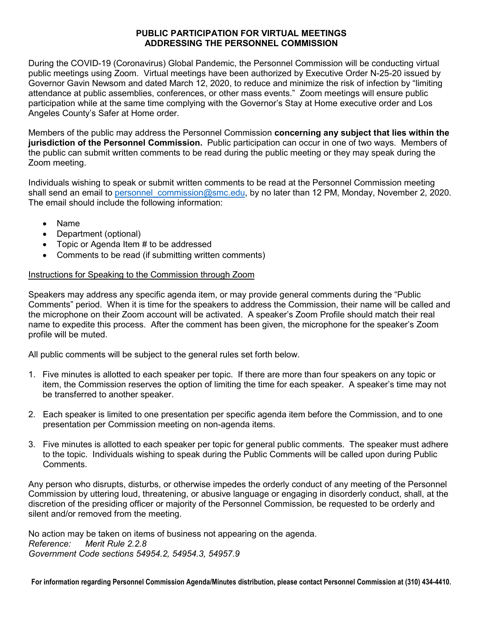## **PUBLIC PARTICIPATION FOR VIRTUAL MEETINGS ADDRESSING THE PERSONNEL COMMISSION**

During the COVID-19 (Coronavirus) Global Pandemic, the Personnel Commission will be conducting virtual public meetings using Zoom. Virtual meetings have been authorized by Executive Order N-25-20 issued by Governor Gavin Newsom and dated March 12, 2020, to reduce and minimize the risk of infection by "limiting attendance at public assemblies, conferences, or other mass events." Zoom meetings will ensure public participation while at the same time complying with the Governor's Stay at Home executive order and Los Angeles County's Safer at Home order.

Members of the public may address the Personnel Commission **concerning any subject that lies within the jurisdiction of the Personnel Commission.** Public participation can occur in one of two ways. Members of the public can submit written comments to be read during the public meeting or they may speak during the Zoom meeting.

Individuals wishing to speak or submit written comments to be read at the Personnel Commission meeting shall send an email to personnel commission@smc.edu, by no later than 12 PM, Monday, November 2, 2020. The email should include the following information:

- Name
- Department (optional)
- Topic or Agenda Item # to be addressed
- Comments to be read (if submitting written comments)

## Instructions for Speaking to the Commission through Zoom

Speakers may address any specific agenda item, or may provide general comments during the "Public Comments" period. When it is time for the speakers to address the Commission, their name will be called and the microphone on their Zoom account will be activated. A speaker's Zoom Profile should match their real name to expedite this process. After the comment has been given, the microphone for the speaker's Zoom profile will be muted.

All public comments will be subject to the general rules set forth below.

- 1. Five minutes is allotted to each speaker per topic. If there are more than four speakers on any topic or item, the Commission reserves the option of limiting the time for each speaker. A speaker's time may not be transferred to another speaker.
- 2. Each speaker is limited to one presentation per specific agenda item before the Commission, and to one presentation per Commission meeting on non-agenda items.
- 3. Five minutes is allotted to each speaker per topic for general public comments. The speaker must adhere to the topic. Individuals wishing to speak during the Public Comments will be called upon during Public Comments.

Any person who disrupts, disturbs, or otherwise impedes the orderly conduct of any meeting of the Personnel Commission by uttering loud, threatening, or abusive language or engaging in disorderly conduct, shall, at the discretion of the presiding officer or majority of the Personnel Commission, be requested to be orderly and silent and/or removed from the meeting.

No action may be taken on items of business not appearing on the agenda. *Reference: Merit Rule 2.2.8 Government Code sections 54954.2, 54954.3, 54957.9*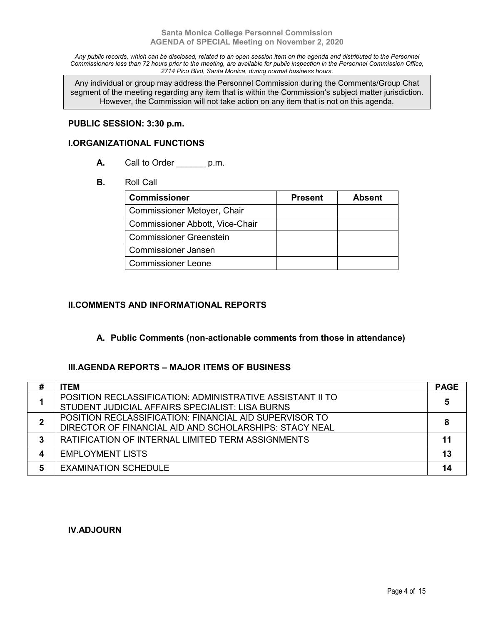*Any public records, which can be disclosed, related to an open session item on the agenda and distributed to the Personnel Commissioners less than 72 hours prior to the meeting, are available for public inspection in the Personnel Commission Office, 2714 Pico Blvd, Santa Monica, during normal business hours.*

Any individual or group may address the Personnel Commission during the Comments/Group Chat segment of the meeting regarding any item that is within the Commission's subject matter jurisdiction. However, the Commission will not take action on any item that is not on this agenda.

#### **PUBLIC SESSION: 3:30 p.m.**

#### **I.ORGANIZATIONAL FUNCTIONS**

- A. Call to Order p.m.
- **B.** Roll Call

| <b>Commissioner</b>             | <b>Present</b> | <b>Absent</b> |
|---------------------------------|----------------|---------------|
| Commissioner Metoyer, Chair     |                |               |
| Commissioner Abbott, Vice-Chair |                |               |
| <b>Commissioner Greenstein</b>  |                |               |
| <b>Commissioner Jansen</b>      |                |               |
| <b>Commissioner Leone</b>       |                |               |

## **II.COMMENTS AND INFORMATIONAL REPORTS**

## **A. Public Comments (non-actionable comments from those in attendance)**

## **III.AGENDA REPORTS – MAJOR ITEMS OF BUSINESS**

| # | <b>ITEM</b>                                                                                                      | <b>PAGE</b> |
|---|------------------------------------------------------------------------------------------------------------------|-------------|
|   | POSITION RECLASSIFICATION: ADMINISTRATIVE ASSISTANT II TO<br>STUDENT JUDICIAL AFFAIRS SPECIALIST: LISA BURNS     |             |
|   | POSITION RECLASSIFICATION: FINANCIAL AID SUPERVISOR TO<br>DIRECTOR OF FINANCIAL AID AND SCHOLARSHIPS: STACY NEAL |             |
| 3 | RATIFICATION OF INTERNAL LIMITED TERM ASSIGNMENTS                                                                | 11          |
| 4 | <b>EMPLOYMENT LISTS</b>                                                                                          | 13          |
| 5 | <b>EXAMINATION SCHEDULE</b>                                                                                      | 14          |

## **IV.ADJOURN**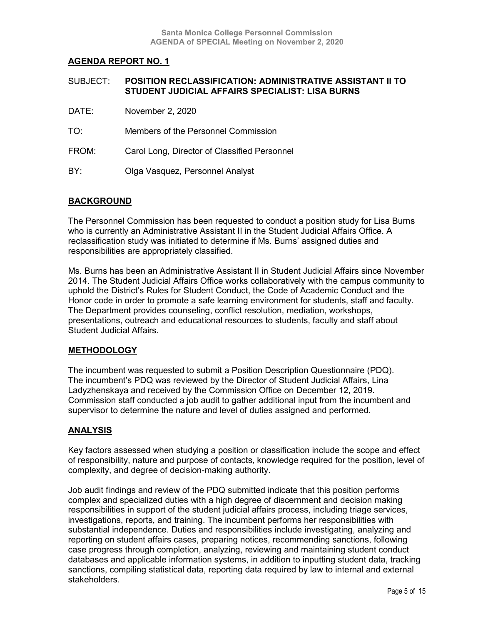| SUBJECT: | <b>POSITION RECLASSIFICATION: ADMINISTRATIVE ASSISTANT II TO</b><br>STUDENT JUDICIAL AFFAIRS SPECIALIST: LISA BURNS |  |
|----------|---------------------------------------------------------------------------------------------------------------------|--|
| DATE:    | November 2, 2020                                                                                                    |  |
| TO.      | Members of the Personnel Commission                                                                                 |  |
|          |                                                                                                                     |  |

- FROM: Carol Long, Director of Classified Personnel
- BY: Olga Vasquez, Personnel Analyst

## **BACKGROUND**

The Personnel Commission has been requested to conduct a position study for Lisa Burns who is currently an Administrative Assistant II in the Student Judicial Affairs Office. A reclassification study was initiated to determine if Ms. Burns' assigned duties and responsibilities are appropriately classified.

Ms. Burns has been an Administrative Assistant II in Student Judicial Affairs since November 2014. The Student Judicial Affairs Office works collaboratively with the campus community to uphold the District's Rules for Student Conduct, the Code of Academic Conduct and the Honor code in order to promote a safe learning environment for students, staff and faculty. The Department provides counseling, conflict resolution, mediation, workshops, presentations, outreach and educational resources to students, faculty and staff about Student Judicial Affairs.

## **METHODOLOGY**

The incumbent was requested to submit a Position Description Questionnaire (PDQ). The incumbent's PDQ was reviewed by the Director of Student Judicial Affairs, Lina Ladyzhenskaya and received by the Commission Office on December 12, 2019. Commission staff conducted a job audit to gather additional input from the incumbent and supervisor to determine the nature and level of duties assigned and performed.

## **ANALYSIS**

Key factors assessed when studying a position or classification include the scope and effect of responsibility, nature and purpose of contacts, knowledge required for the position, level of complexity, and degree of decision-making authority.

Job audit findings and review of the PDQ submitted indicate that this position performs complex and specialized duties with a high degree of discernment and decision making responsibilities in support of the student judicial affairs process, including triage services, investigations, reports, and training. The incumbent performs her responsibilities with substantial independence. Duties and responsibilities include investigating, analyzing and reporting on student affairs cases, preparing notices, recommending sanctions, following case progress through completion, analyzing, reviewing and maintaining student conduct databases and applicable information systems, in addition to inputting student data, tracking sanctions, compiling statistical data, reporting data required by law to internal and external stakeholders.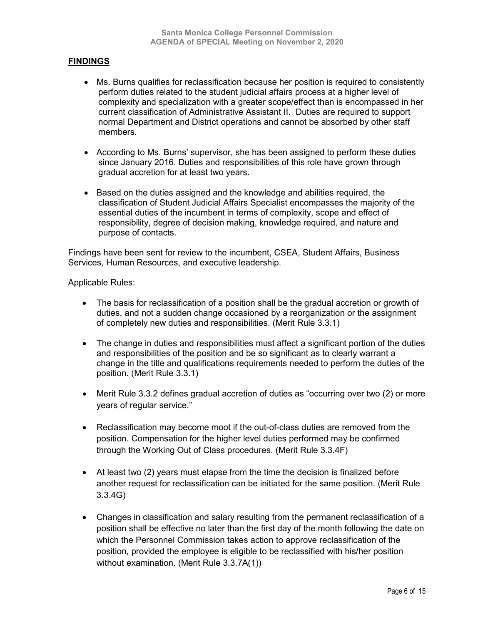## **FINDINGS**

- Ms. Burns qualifies for reclassification because her position is required to consistently perform duties related to the student judicial affairs process at a higher level of complexity and specialization with a greater scope/effect than is encompassed in her current classification of Administrative Assistant II. Duties are required to support normal Department and District operations and cannot be absorbed by other staff members.
- According to Ms. Burns' supervisor, she has been assigned to perform these duties since January 2016. Duties and responsibilities of this role have grown through gradual accretion for at least two years.
- Based on the duties assigned and the knowledge and abilities required, the classification of Student Judicial Affairs Specialist encompasses the majority of the essential duties of the incumbent in terms of complexity, scope and effect of responsibility, degree of decision making, knowledge required, and nature and purpose of contacts.

Findings have been sent for review to the incumbent, CSEA, Student Affairs, Business Services, Human Resources, and executive leadership.

#### Applicable Rules:

- The basis for reclassification of a position shall be the gradual accretion or growth of duties, and not a sudden change occasioned by a reorganization or the assignment of completely new duties and responsibilities. (Merit Rule 3.3.1)
- The change in duties and responsibilities must affect a significant portion of the duties and responsibilities of the position and be so significant as to clearly warrant a change in the title and qualifications requirements needed to perform the duties of the position. (Merit Rule 3.3.1)
- Merit Rule 3.3.2 defines gradual accretion of duties as "occurring over two (2) or more years of regular service."
- Reclassification may become moot if the out-of-class duties are removed from the position. Compensation for the higher level duties performed may be confirmed through the Working Out of Class procedures. (Merit Rule 3.3.4F)
- At least two (2) years must elapse from the time the decision is finalized before another request for reclassification can be initiated for the same position. (Merit Rule 3.3.4G)
- Changes in classification and salary resulting from the permanent reclassification of a position shall be effective no later than the first day of the month following the date on which the Personnel Commission takes action to approve reclassification of the position, provided the employee is eligible to be reclassified with his/her position without examination. (Merit Rule 3.3.7A(1))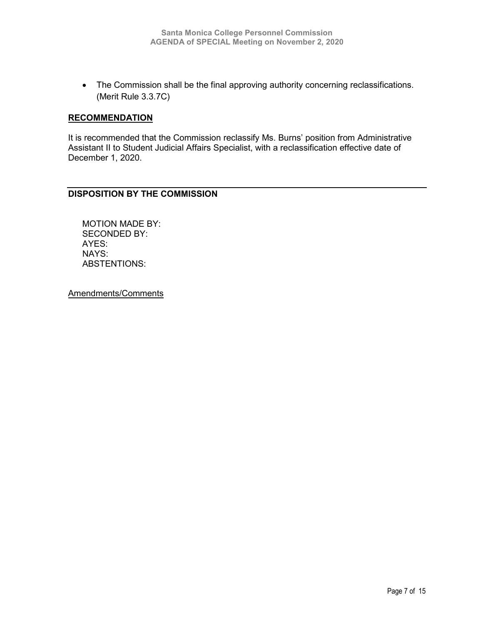• The Commission shall be the final approving authority concerning reclassifications. (Merit Rule 3.3.7C)

#### **RECOMMENDATION**

It is recommended that the Commission reclassify Ms. Burns' position from Administrative Assistant II to Student Judicial Affairs Specialist, with a reclassification effective date of December 1, 2020.

## **DISPOSITION BY THE COMMISSION**

MOTION MADE BY: SECONDED BY: AYES: NAYS: ABSTENTIONS: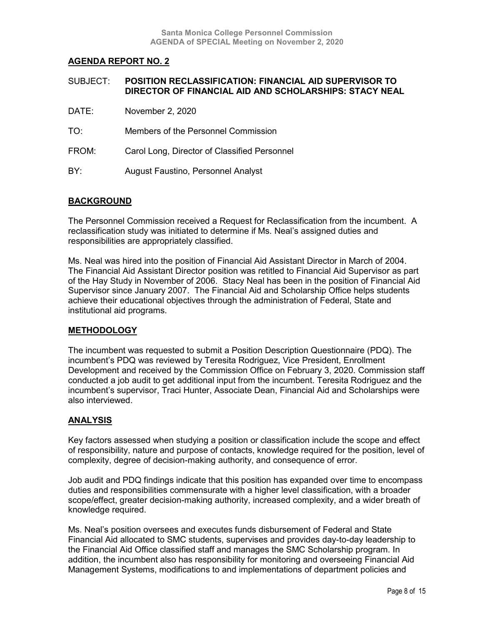| SUBJECT: | <b>POSITION RECLASSIFICATION: FINANCIAL AID SUPERVISOR TO</b> |  |  |
|----------|---------------------------------------------------------------|--|--|
|          | DIRECTOR OF FINANCIAL AID AND SCHOLARSHIPS: STACY NEAL        |  |  |

- DATE: November 2, 2020
- TO: Members of the Personnel Commission
- FROM: Carol Long, Director of Classified Personnel
- BY: August Faustino, Personnel Analyst

#### **BACKGROUND**

The Personnel Commission received a Request for Reclassification from the incumbent. A reclassification study was initiated to determine if Ms. Neal's assigned duties and responsibilities are appropriately classified.

Ms. Neal was hired into the position of Financial Aid Assistant Director in March of 2004. The Financial Aid Assistant Director position was retitled to Financial Aid Supervisor as part of the Hay Study in November of 2006. Stacy Neal has been in the position of Financial Aid Supervisor since January 2007. The Financial Aid and Scholarship Office helps students achieve their educational objectives through the administration of Federal, State and institutional aid programs.

#### **METHODOLOGY**

The incumbent was requested to submit a Position Description Questionnaire (PDQ). The incumbent's PDQ was reviewed by Teresita Rodriguez, Vice President, Enrollment Development and received by the Commission Office on February 3, 2020. Commission staff conducted a job audit to get additional input from the incumbent. Teresita Rodriguez and the incumbent's supervisor, Traci Hunter, Associate Dean, Financial Aid and Scholarships were also interviewed.

#### **ANALYSIS**

Key factors assessed when studying a position or classification include the scope and effect of responsibility, nature and purpose of contacts, knowledge required for the position, level of complexity, degree of decision-making authority, and consequence of error.

Job audit and PDQ findings indicate that this position has expanded over time to encompass duties and responsibilities commensurate with a higher level classification, with a broader scope/effect, greater decision-making authority, increased complexity, and a wider breath of knowledge required.

Ms. Neal's position oversees and executes funds disbursement of Federal and State Financial Aid allocated to SMC students, supervises and provides day-to-day leadership to the Financial Aid Office classified staff and manages the SMC Scholarship program. In addition, the incumbent also has responsibility for monitoring and overseeing Financial Aid Management Systems, modifications to and implementations of department policies and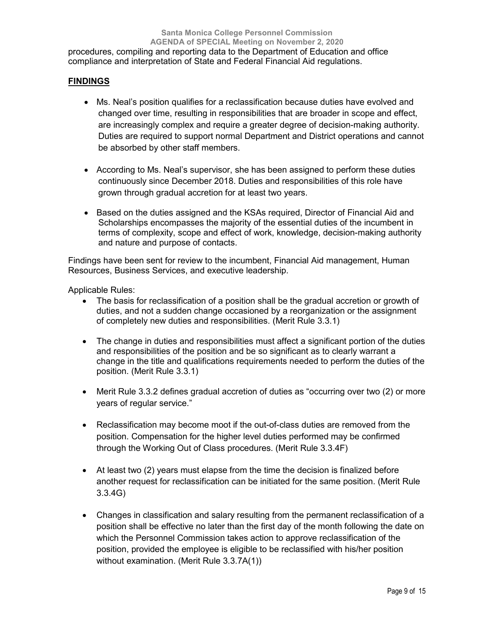procedures, compiling and reporting data to the Department of Education and office compliance and interpretation of State and Federal Financial Aid regulations.

## **FINDINGS**

- Ms. Neal's position qualifies for a reclassification because duties have evolved and changed over time, resulting in responsibilities that are broader in scope and effect, are increasingly complex and require a greater degree of decision-making authority. Duties are required to support normal Department and District operations and cannot be absorbed by other staff members.
- According to Ms. Neal's supervisor, she has been assigned to perform these duties continuously since December 2018. Duties and responsibilities of this role have grown through gradual accretion for at least two years.
- Based on the duties assigned and the KSAs required, Director of Financial Aid and Scholarships encompasses the majority of the essential duties of the incumbent in terms of complexity, scope and effect of work, knowledge, decision-making authority and nature and purpose of contacts.

Findings have been sent for review to the incumbent, Financial Aid management, Human Resources, Business Services, and executive leadership.

Applicable Rules:

- The basis for reclassification of a position shall be the gradual accretion or growth of duties, and not a sudden change occasioned by a reorganization or the assignment of completely new duties and responsibilities. (Merit Rule 3.3.1)
- The change in duties and responsibilities must affect a significant portion of the duties and responsibilities of the position and be so significant as to clearly warrant a change in the title and qualifications requirements needed to perform the duties of the position. (Merit Rule 3.3.1)
- Merit Rule 3.3.2 defines gradual accretion of duties as "occurring over two (2) or more years of regular service."
- Reclassification may become moot if the out-of-class duties are removed from the position. Compensation for the higher level duties performed may be confirmed through the Working Out of Class procedures. (Merit Rule 3.3.4F)
- At least two (2) years must elapse from the time the decision is finalized before another request for reclassification can be initiated for the same position. (Merit Rule 3.3.4G)
- Changes in classification and salary resulting from the permanent reclassification of a position shall be effective no later than the first day of the month following the date on which the Personnel Commission takes action to approve reclassification of the position, provided the employee is eligible to be reclassified with his/her position without examination. (Merit Rule 3.3.7A(1))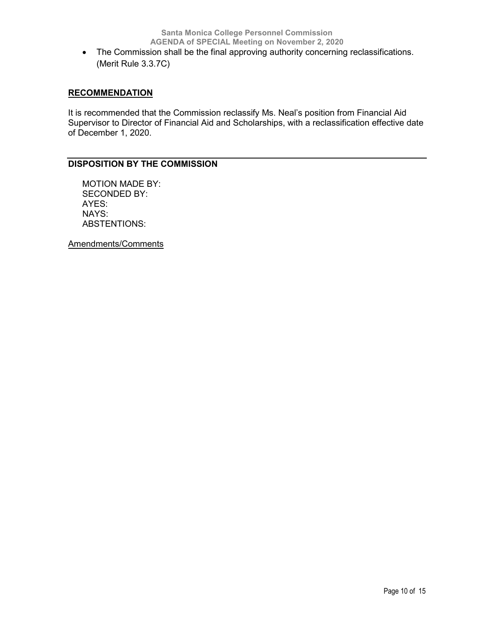• The Commission shall be the final approving authority concerning reclassifications. (Merit Rule 3.3.7C)

## **RECOMMENDATION**

It is recommended that the Commission reclassify Ms. Neal's position from Financial Aid Supervisor to Director of Financial Aid and Scholarships, with a reclassification effective date of December 1, 2020.

## **DISPOSITION BY THE COMMISSION**

MOTION MADE BY: SECONDED BY: AYES: NAYS: ABSTENTIONS: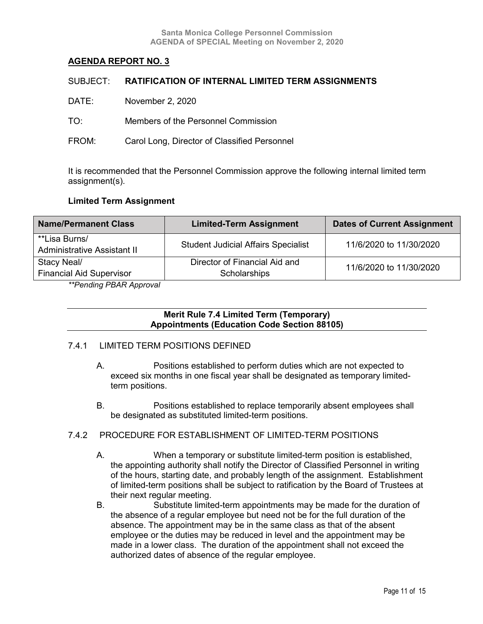|       | SUBJECT: RATIFICATION OF INTERNAL LIMITED TERM ASSIGNMENTS |
|-------|------------------------------------------------------------|
| DATE: | November 2, 2020                                           |
| TO:   | Members of the Personnel Commission                        |
| FROM: | Carol Long, Director of Classified Personnel               |

It is recommended that the Personnel Commission approve the following internal limited term assignment(s).

#### **Limited Term Assignment**

| <b>Name/Permanent Class</b>     | <b>Limited-Term Assignment</b>             | <b>Dates of Current Assignment</b> |  |
|---------------------------------|--------------------------------------------|------------------------------------|--|
| **Lisa Burns/                   | <b>Student Judicial Affairs Specialist</b> | 11/6/2020 to 11/30/2020            |  |
| Administrative Assistant II     |                                            |                                    |  |
| Stacy Neal/                     | Director of Financial Aid and              | 11/6/2020 to 11/30/2020            |  |
| <b>Financial Aid Supervisor</b> | <b>Scholarships</b>                        |                                    |  |

*\*\*Pending PBAR Approval*

**Merit Rule 7.4 Limited Term (Temporary) Appointments (Education Code Section 88105)**

#### 7.4.1 LIMITED TERM POSITIONS DEFINED

- A. Positions established to perform duties which are not expected to exceed six months in one fiscal year shall be designated as temporary limitedterm positions.
- B. Positions established to replace temporarily absent employees shall be designated as substituted limited-term positions.

#### 7.4.2 PROCEDURE FOR ESTABLISHMENT OF LIMITED-TERM POSITIONS

- A. When a temporary or substitute limited-term position is established, the appointing authority shall notify the Director of Classified Personnel in writing of the hours, starting date, and probably length of the assignment. Establishment of limited-term positions shall be subject to ratification by the Board of Trustees at their next regular meeting.
- B. Substitute limited-term appointments may be made for the duration of the absence of a regular employee but need not be for the full duration of the absence. The appointment may be in the same class as that of the absent employee or the duties may be reduced in level and the appointment may be made in a lower class. The duration of the appointment shall not exceed the authorized dates of absence of the regular employee.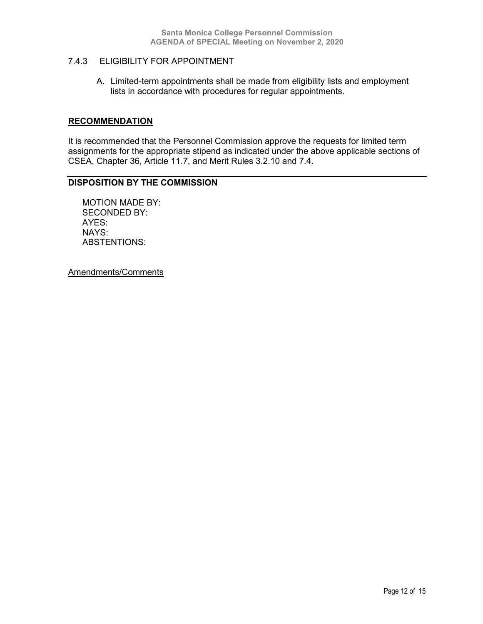## 7.4.3 ELIGIBILITY FOR APPOINTMENT

A. Limited-term appointments shall be made from eligibility lists and employment lists in accordance with procedures for regular appointments.

#### **RECOMMENDATION**

It is recommended that the Personnel Commission approve the requests for limited term assignments for the appropriate stipend as indicated under the above applicable sections of CSEA, Chapter 36, Article 11.7, and Merit Rules 3.2.10 and 7.4.

## **DISPOSITION BY THE COMMISSION**

MOTION MADE BY: SECONDED BY: AYES: NAYS: ABSTENTIONS: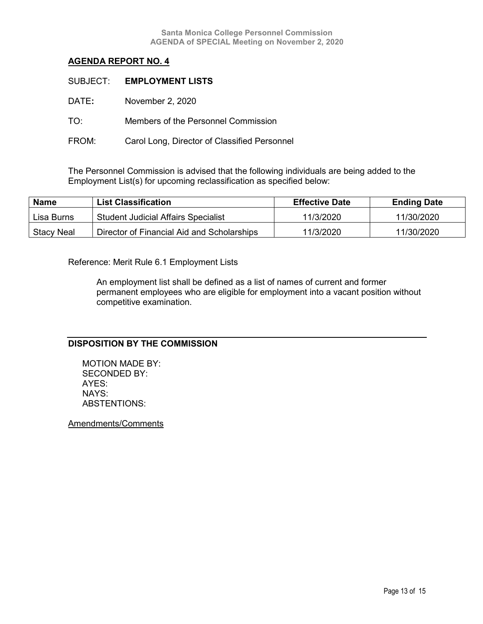|       | SUBJECT: EMPLOYMENT LISTS                    |
|-------|----------------------------------------------|
| DATE: | November 2, 2020                             |
| TO:   | Members of the Personnel Commission          |
| FROM: | Carol Long, Director of Classified Personnel |

The Personnel Commission is advised that the following individuals are being added to the Employment List(s) for upcoming reclassification as specified below:

| <b>Name</b> | <b>List Classification</b>                 | <b>Effective Date</b> | <b>Ending Date</b> |
|-------------|--------------------------------------------|-----------------------|--------------------|
| Lisa Burns  | <b>Student Judicial Affairs Specialist</b> | 11/3/2020             | 11/30/2020         |
| Stacy Neal  | Director of Financial Aid and Scholarships | 11/3/2020             | 11/30/2020         |

Reference: Merit Rule 6.1 Employment Lists

An employment list shall be defined as a list of names of current and former permanent employees who are eligible for employment into a vacant position without competitive examination.

## **DISPOSITION BY THE COMMISSION**

MOTION MADE BY: SECONDED BY: AYES: NAYS: ABSTENTIONS: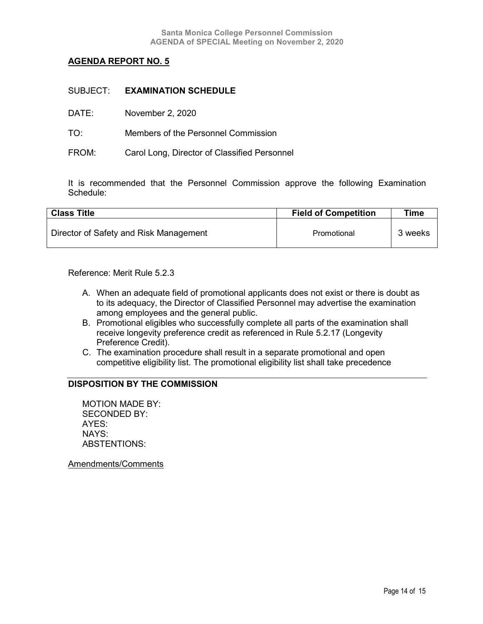| DATE: | November 2, 2020 |  |
|-------|------------------|--|
|-------|------------------|--|

TO: Members of the Personnel Commission

FROM: Carol Long, Director of Classified Personnel

It is recommended that the Personnel Commission approve the following Examination Schedule:

| <b>Class Title</b>                     | <b>Field of Competition</b> | Time    |
|----------------------------------------|-----------------------------|---------|
| Director of Safety and Risk Management | Promotional                 | 3 weeks |

Reference: Merit Rule 5.2.3

- A. When an adequate field of promotional applicants does not exist or there is doubt as to its adequacy, the Director of Classified Personnel may advertise the examination among employees and the general public.
- B. Promotional eligibles who successfully complete all parts of the examination shall receive longevity preference credit as referenced in Rule 5.2.17 (Longevity Preference Credit).
- C. The examination procedure shall result in a separate promotional and open competitive eligibility list. The promotional eligibility list shall take precedence

## **DISPOSITION BY THE COMMISSION**

MOTION MADE BY: SECONDED BY: AYES: NAYS: ABSTENTIONS: